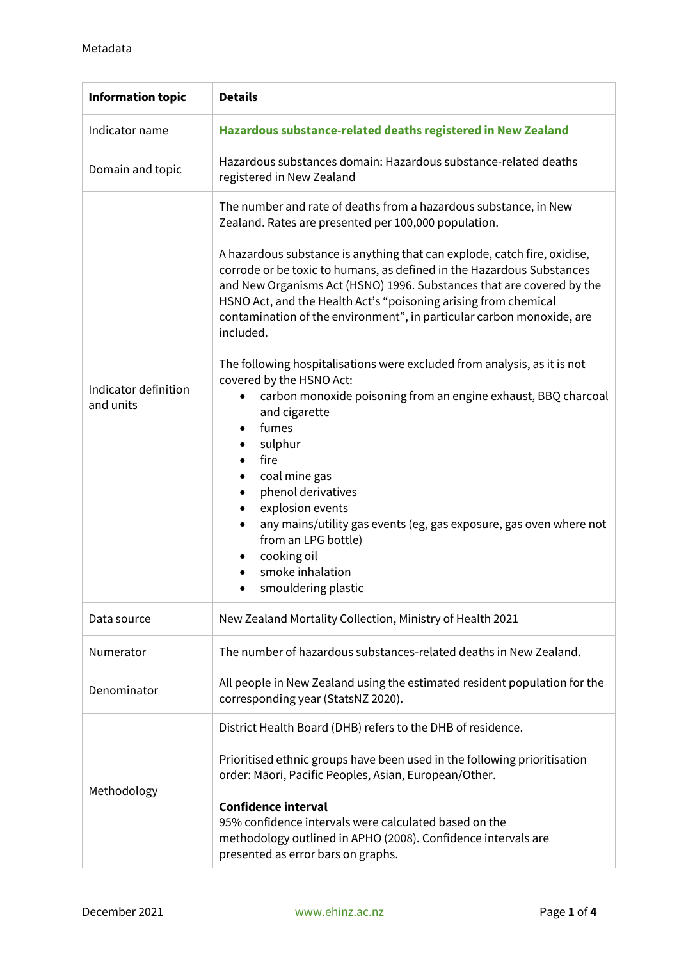| <b>Information topic</b>          | <b>Details</b>                                                                                                                                                                                                                                                                                                                                                                                                                                                                                                                                                                                                                                                                                                                                                                                                                                                                                                                                                                                                                                           |  |  |
|-----------------------------------|----------------------------------------------------------------------------------------------------------------------------------------------------------------------------------------------------------------------------------------------------------------------------------------------------------------------------------------------------------------------------------------------------------------------------------------------------------------------------------------------------------------------------------------------------------------------------------------------------------------------------------------------------------------------------------------------------------------------------------------------------------------------------------------------------------------------------------------------------------------------------------------------------------------------------------------------------------------------------------------------------------------------------------------------------------|--|--|
| Indicator name                    | Hazardous substance-related deaths registered in New Zealand                                                                                                                                                                                                                                                                                                                                                                                                                                                                                                                                                                                                                                                                                                                                                                                                                                                                                                                                                                                             |  |  |
| Domain and topic                  | Hazardous substances domain: Hazardous substance-related deaths<br>registered in New Zealand                                                                                                                                                                                                                                                                                                                                                                                                                                                                                                                                                                                                                                                                                                                                                                                                                                                                                                                                                             |  |  |
| Indicator definition<br>and units | The number and rate of deaths from a hazardous substance, in New<br>Zealand. Rates are presented per 100,000 population.<br>A hazardous substance is anything that can explode, catch fire, oxidise,<br>corrode or be toxic to humans, as defined in the Hazardous Substances<br>and New Organisms Act (HSNO) 1996. Substances that are covered by the<br>HSNO Act, and the Health Act's "poisoning arising from chemical<br>contamination of the environment", in particular carbon monoxide, are<br>included.<br>The following hospitalisations were excluded from analysis, as it is not<br>covered by the HSNO Act:<br>carbon monoxide poisoning from an engine exhaust, BBQ charcoal<br>$\bullet$<br>and cigarette<br>fumes<br>$\bullet$<br>sulphur<br>fire<br>$\bullet$<br>coal mine gas<br>$\bullet$<br>phenol derivatives<br>$\bullet$<br>explosion events<br>$\bullet$<br>any mains/utility gas events (eg, gas exposure, gas oven where not<br>$\bullet$<br>from an LPG bottle)<br>cooking oil<br>٠<br>smoke inhalation<br>smouldering plastic |  |  |
| Data source                       | New Zealand Mortality Collection, Ministry of Health 2021                                                                                                                                                                                                                                                                                                                                                                                                                                                                                                                                                                                                                                                                                                                                                                                                                                                                                                                                                                                                |  |  |
| Numerator                         | The number of hazardous substances-related deaths in New Zealand.                                                                                                                                                                                                                                                                                                                                                                                                                                                                                                                                                                                                                                                                                                                                                                                                                                                                                                                                                                                        |  |  |
| Denominator                       | All people in New Zealand using the estimated resident population for the<br>corresponding year (StatsNZ 2020).                                                                                                                                                                                                                                                                                                                                                                                                                                                                                                                                                                                                                                                                                                                                                                                                                                                                                                                                          |  |  |
| Methodology                       | District Health Board (DHB) refers to the DHB of residence.<br>Prioritised ethnic groups have been used in the following prioritisation<br>order: Māori, Pacific Peoples, Asian, European/Other.<br><b>Confidence interval</b><br>95% confidence intervals were calculated based on the<br>methodology outlined in APHO (2008). Confidence intervals are<br>presented as error bars on graphs.                                                                                                                                                                                                                                                                                                                                                                                                                                                                                                                                                                                                                                                           |  |  |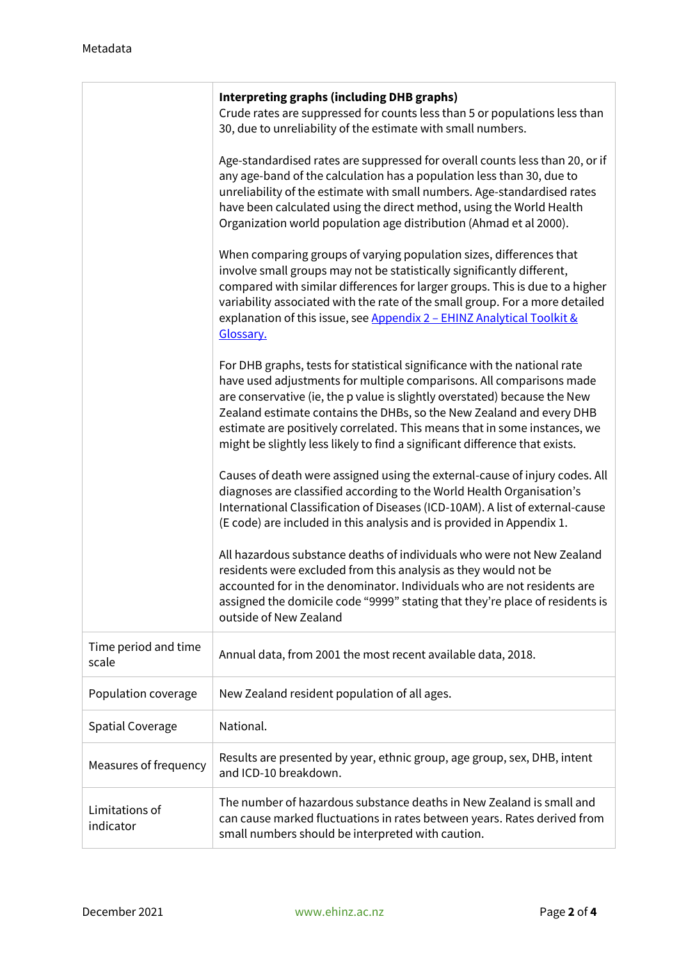|                               | <b>Interpreting graphs (including DHB graphs)</b><br>Crude rates are suppressed for counts less than 5 or populations less than<br>30, due to unreliability of the estimate with small numbers.                                                                                                                                                                                                                                                                    |  |  |
|-------------------------------|--------------------------------------------------------------------------------------------------------------------------------------------------------------------------------------------------------------------------------------------------------------------------------------------------------------------------------------------------------------------------------------------------------------------------------------------------------------------|--|--|
|                               | Age-standardised rates are suppressed for overall counts less than 20, or if<br>any age-band of the calculation has a population less than 30, due to<br>unreliability of the estimate with small numbers. Age-standardised rates<br>have been calculated using the direct method, using the World Health<br>Organization world population age distribution (Ahmad et al 2000).                                                                                    |  |  |
|                               | When comparing groups of varying population sizes, differences that<br>involve small groups may not be statistically significantly different,<br>compared with similar differences for larger groups. This is due to a higher<br>variability associated with the rate of the small group. For a more detailed<br>explanation of this issue, see Appendix 2 - EHINZ Analytical Toolkit &<br>Glossary.                                                               |  |  |
|                               | For DHB graphs, tests for statistical significance with the national rate<br>have used adjustments for multiple comparisons. All comparisons made<br>are conservative (ie, the p value is slightly overstated) because the New<br>Zealand estimate contains the DHBs, so the New Zealand and every DHB<br>estimate are positively correlated. This means that in some instances, we<br>might be slightly less likely to find a significant difference that exists. |  |  |
|                               | Causes of death were assigned using the external-cause of injury codes. All<br>diagnoses are classified according to the World Health Organisation's<br>International Classification of Diseases (ICD-10AM). A list of external-cause<br>(E code) are included in this analysis and is provided in Appendix 1.                                                                                                                                                     |  |  |
|                               | All hazardous substance deaths of individuals who were not New Zealand<br>residents were excluded from this analysis as they would not be<br>accounted for in the denominator. Individuals who are not residents are<br>assigned the domicile code "9999" stating that they're place of residents is<br>outside of New Zealand                                                                                                                                     |  |  |
| Time period and time<br>scale | Annual data, from 2001 the most recent available data, 2018.                                                                                                                                                                                                                                                                                                                                                                                                       |  |  |
| Population coverage           | New Zealand resident population of all ages.                                                                                                                                                                                                                                                                                                                                                                                                                       |  |  |
| <b>Spatial Coverage</b>       | National.                                                                                                                                                                                                                                                                                                                                                                                                                                                          |  |  |
| Measures of frequency         | Results are presented by year, ethnic group, age group, sex, DHB, intent<br>and ICD-10 breakdown.                                                                                                                                                                                                                                                                                                                                                                  |  |  |
| Limitations of<br>indicator   | The number of hazardous substance deaths in New Zealand is small and<br>can cause marked fluctuations in rates between years. Rates derived from<br>small numbers should be interpreted with caution.                                                                                                                                                                                                                                                              |  |  |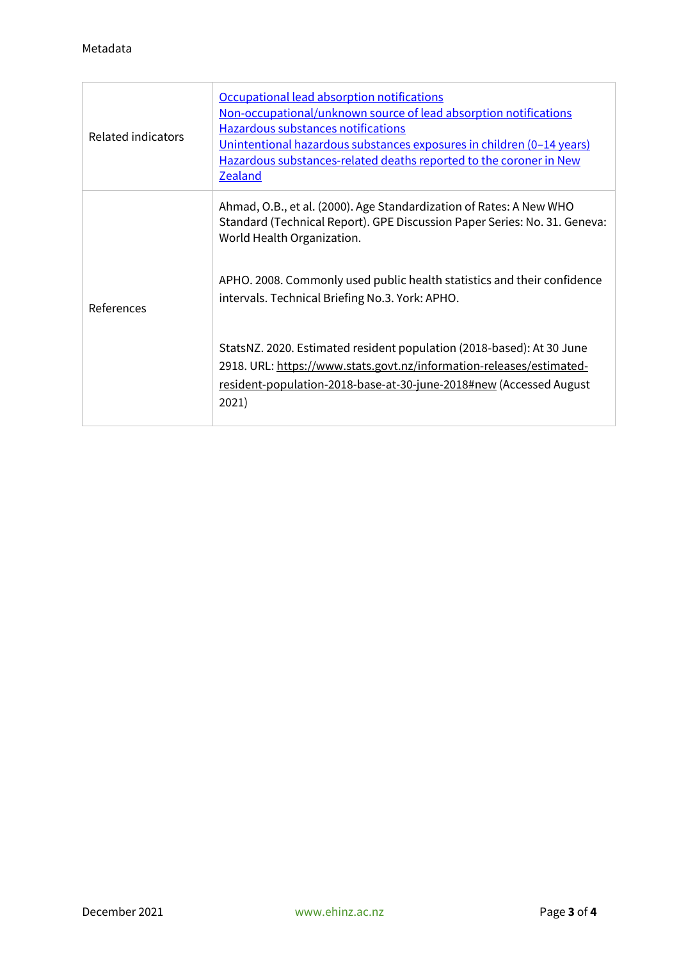| Related indicators | Occupational lead absorption notifications<br>Non-occupational/unknown source of lead absorption notifications<br>Hazardous substances notifications<br>Unintentional hazardous substances exposures in children (0-14 years)<br>Hazardous substances-related deaths reported to the coroner in New<br><b>Zealand</b> |
|--------------------|-----------------------------------------------------------------------------------------------------------------------------------------------------------------------------------------------------------------------------------------------------------------------------------------------------------------------|
| References         | Ahmad, O.B., et al. (2000). Age Standardization of Rates: A New WHO<br>Standard (Technical Report). GPE Discussion Paper Series: No. 31. Geneva:<br>World Health Organization.                                                                                                                                        |
|                    | APHO. 2008. Commonly used public health statistics and their confidence<br>intervals. Technical Briefing No.3. York: APHO.                                                                                                                                                                                            |
|                    | StatsNZ. 2020. Estimated resident population (2018-based): At 30 June<br>2918. URL: https://www.stats.govt.nz/information-releases/estimated-<br>resident-population-2018-base-at-30-june-2018#new (Accessed August<br>2021)                                                                                          |